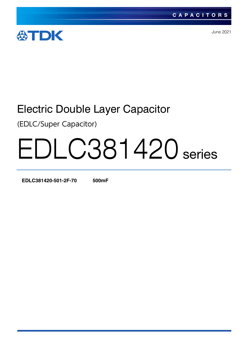

June 2021

# Electric Double Layer Capacitor

(EDLC/Super Capacitor)

# EDLC381420 series

**EDLC381420-501-2F-70 500mF**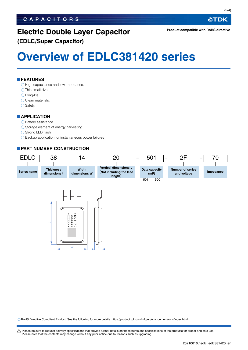# **CAPACITORS**

# **Electric Double Layer Capacitor (EDLC/Super Capacitor)**

**Overview of EDLC381420 series**

# **FEATURES**

 $\bigcirc$  High capacitance and low impedance.

- $\bigcirc$  Thin small size.
- Long-life.
- O Clean materials.
- $\bigcirc$  Safety.

## **APPLICATION**

### $\bigcirc$  Battery assistance

- $\bigcirc$  Storage element of energy harvesting
- ◯ Strong LED flash
- $\bigcirc$  Backup application for instantaneous power failures

# **PART NUMBER CONSTRUCTION**





RoHS Directive Compliant Product: See the following for more details. https://product.tdk.com/info/en/environment/rohs/index.html

t Please be sure to request delivery specifications that provide further details on the features and specifications of the products for proper and safe use. Please note that the contents may change without any prior notice due to reasons such as upgrading.

**公TDK**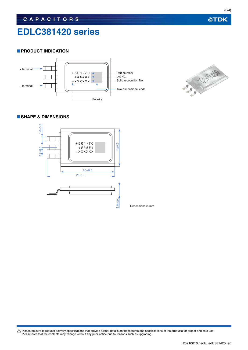# **EDLC381420 series**

# **PRODUCT INDICATION**





# **SHAPE & DIMENSIONS**



Dimensions in mm

Please be sure to request delivery specifications that provide further details on the features and specifications of the products for proper and safe use.<br>Please note that the contents may change without any prior notice d

**公TDK**